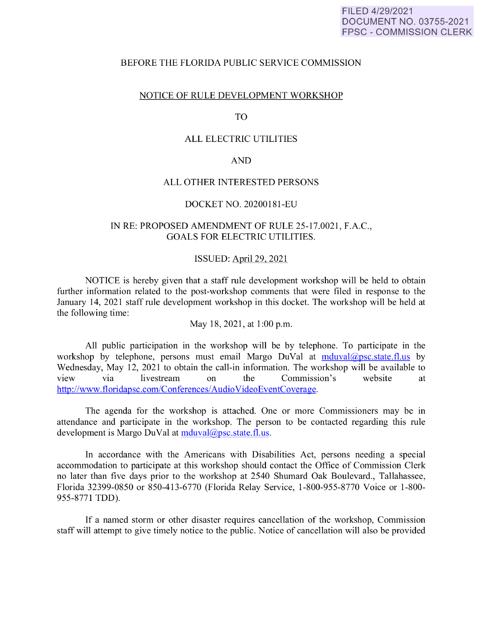#### FILED 4/29/2021 DOCUMENT NO. 03755-2021 FPSC - COMMISSION CLERK

## BEFORE THE FLORIDA PUBLIC SERVICE COMMISSION

## NOTICE OF RULE DEVELOPMENT WORKSHOP

#### TO

## ALL ELECTRIC UTILITIES

#### AND

## ALL OTHER INTERESTED PERSONS

## DOCKET NO. 20200181-EU

## IN RE: PROPOSED AMENDMENT OF RULE 25-17.0021, F.A.C., GOALS FOR ELECTRIC UTILITIES.

#### ISSUED: April 29, 2021

NOTICE is hereby given that a staff rule development workshop will be held to obtain further information related to the post-workshop comments that were filed in response to the January 14, 2021 staff rule development workshop in this docket. The workshop will be held at the following time:

May 18, 2021, at 1:00 p.m.

All public participation in the workshop will be by telephone. To participate in the workshop by telephone, persons must email Margo DuVal at  $mduval@psc.state.fl.us$  by Wednesday, May 12, 2021 to obtain the call-in information. The workshop will be available to view via livestream on the Commission's website at http://www.floridapsc.com/Conferences/ Audio VideoEventCoverage.

The agenda for the workshop is attached. One or more Commissioners may be in attendance and participate in the workshop. The person to be contacted regarding this rule development is Margo DuVal at mduval@psc.state.fl.us.

In accordance with the Americans with Disabilities Act, persons needing a special accommodation to participate at this workshop should contact the Office of Commission Clerk no later than five days prior to the workshop at 2540 Shumard Oak Boulevard., Tallahassee, Florida 32399-0850 or 850-413-6770 (Florida Relay Service, 1-800-955-8770 Voice or 1-800- 955-8771 TDD).

If a named storm or other disaster requires cancellation of the workshop, Commission staff will attempt to give timely notice to the public. Notice of cancellation will also be provided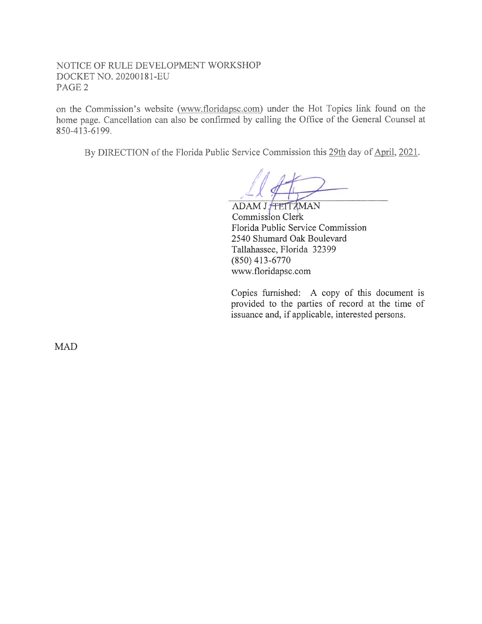NOTICE OF RULE DEVELOPMENT WORKSHOP DOCKET NO. 20200181-EU PAGE2

on the Commission's website (www.floridapsc.com) under the Hot Topics link found on the home page. Cancellation can also be confirmed by calling the Office of the General Counsel at 850-413-6199.

By DIRECTION of the Florida Public Service Commission this 29th day of April, 2021.

ADAM J. TETTZMAN Commission Clerk Florida Public Service Commission 2540 Shumard Oak Boulevard Tallahassee, Florida 32399 (850) 413-6770 www.floridapsc.com

Copies furnished: A copy of this document is provided to the parties of record at the time of issuance and, if applicable, interested persons.

MAD